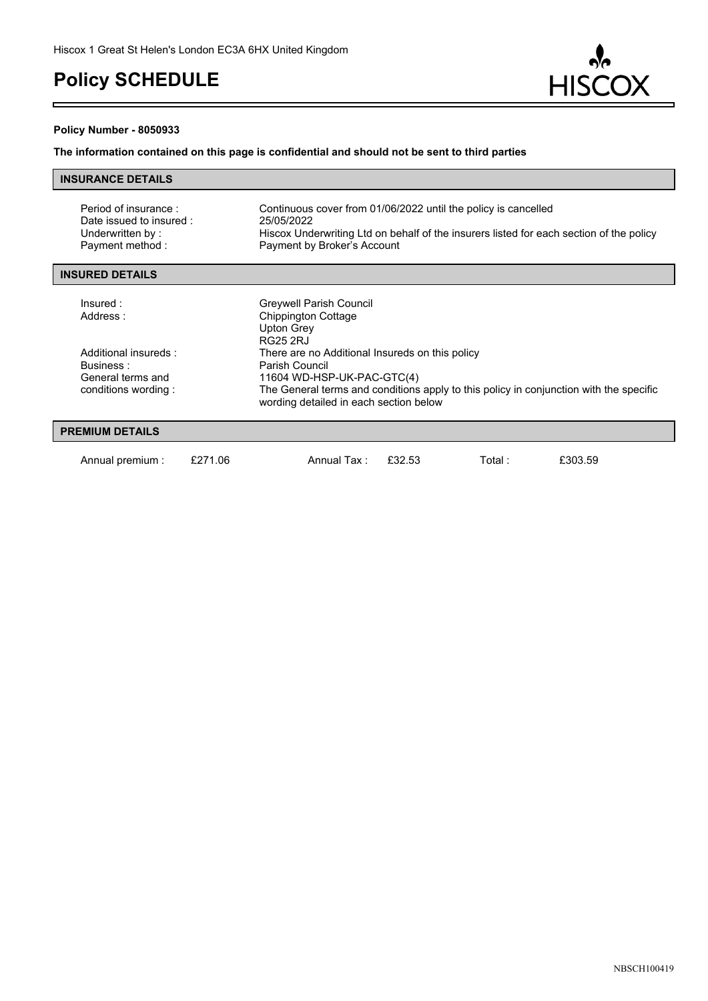

#### **Policy Number - 8050933**

r.

### **The information contained on this page is confidential and should not be sent to third parties**

| <b>INSURANCE DETAILS</b> |  |
|--------------------------|--|
|                          |  |

| Period of insurance:<br>Date issued to insured :<br>Underwritten by:<br>Payment method: | Continuous cover from 01/06/2022 until the policy is cancelled<br>25/05/2022<br>Hiscox Underwriting Ltd on behalf of the insurers listed for each section of the policy<br>Payment by Broker's Account                              |
|-----------------------------------------------------------------------------------------|-------------------------------------------------------------------------------------------------------------------------------------------------------------------------------------------------------------------------------------|
| <b>INSURED DETAILS</b>                                                                  |                                                                                                                                                                                                                                     |
| Insured:<br>Address:                                                                    | Greywell Parish Council<br>Chippington Cottage<br><b>Upton Grey</b><br><b>RG25 2RJ</b>                                                                                                                                              |
| Additional insureds:<br>Business:<br>General terms and<br>conditions wording:           | There are no Additional Insureds on this policy<br>Parish Council<br>11604 WD-HSP-UK-PAC-GTC(4)<br>The General terms and conditions apply to this policy in conjunction with the specific<br>wording detailed in each section below |
| <b>PREMIUM DETAILS</b>                                                                  |                                                                                                                                                                                                                                     |
|                                                                                         |                                                                                                                                                                                                                                     |

Annual premium : £271.06 Annual Tax : £32.53 Total : £303.59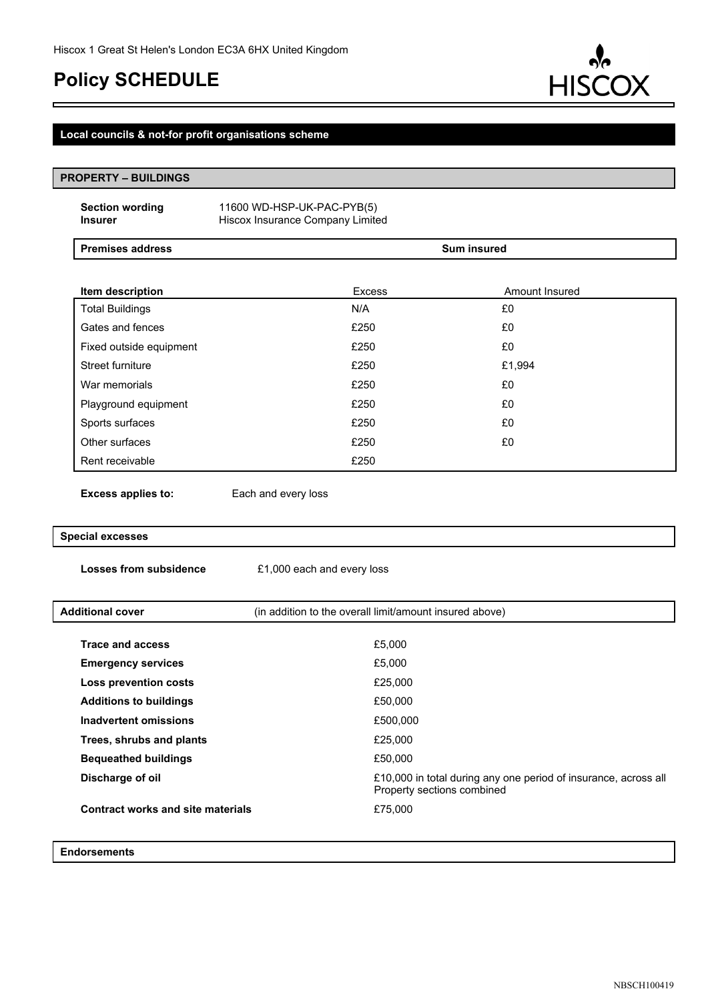

### **Local councils & not-for profit organisations scheme**

| <b>PROPERTY - BUILDINGS</b> |                                          |                                                                |               |                            |                                                                 |
|-----------------------------|------------------------------------------|----------------------------------------------------------------|---------------|----------------------------|-----------------------------------------------------------------|
|                             | <b>Section wording</b><br><b>Insurer</b> | 11600 WD-HSP-UK-PAC-PYB(5)<br>Hiscox Insurance Company Limited |               |                            |                                                                 |
|                             | <b>Premises address</b>                  |                                                                |               | <b>Sum insured</b>         |                                                                 |
|                             |                                          |                                                                |               |                            |                                                                 |
|                             | Item description                         |                                                                | <b>Excess</b> |                            | Amount Insured                                                  |
|                             | <b>Total Buildings</b>                   |                                                                | N/A           |                            | £0                                                              |
|                             | Gates and fences                         |                                                                | £250          |                            | £0                                                              |
|                             | Fixed outside equipment                  |                                                                | £250          |                            | £0                                                              |
|                             | Street furniture                         |                                                                | £250          |                            | £1,994                                                          |
|                             | War memorials                            |                                                                | £250          |                            | £0                                                              |
|                             | Playground equipment                     |                                                                | £250          |                            | £0                                                              |
|                             | Sports surfaces                          |                                                                | £250          |                            | £0                                                              |
|                             | Other surfaces                           |                                                                | £250          |                            | £0                                                              |
|                             | Rent receivable                          |                                                                | £250          |                            |                                                                 |
|                             | <b>Excess applies to:</b>                | Each and every loss                                            |               |                            |                                                                 |
| <b>Special excesses</b>     |                                          |                                                                |               |                            |                                                                 |
|                             | <b>Losses from subsidence</b>            | £1,000 each and every loss                                     |               |                            |                                                                 |
|                             | <b>Additional cover</b>                  | (in addition to the overall limit/amount insured above)        |               |                            |                                                                 |
|                             |                                          |                                                                |               |                            |                                                                 |
|                             | <b>Trace and access</b>                  |                                                                | £5,000        |                            |                                                                 |
|                             | <b>Emergency services</b>                |                                                                | £5,000        |                            |                                                                 |
|                             | <b>Loss prevention costs</b>             |                                                                | £25,000       |                            |                                                                 |
|                             | <b>Additions to buildings</b>            |                                                                | £50,000       |                            |                                                                 |
|                             | <b>Inadvertent omissions</b>             |                                                                | £500,000      |                            |                                                                 |
|                             | Trees, shrubs and plants                 |                                                                | £25,000       |                            |                                                                 |
|                             | <b>Bequeathed buildings</b>              |                                                                | £50,000       |                            |                                                                 |
|                             | Discharge of oil                         |                                                                |               | Property sections combined | £10,000 in total during any one period of insurance, across all |
|                             | <b>Contract works and site materials</b> |                                                                | £75,000       |                            |                                                                 |
|                             | <b>Endorsements</b>                      |                                                                |               |                            |                                                                 |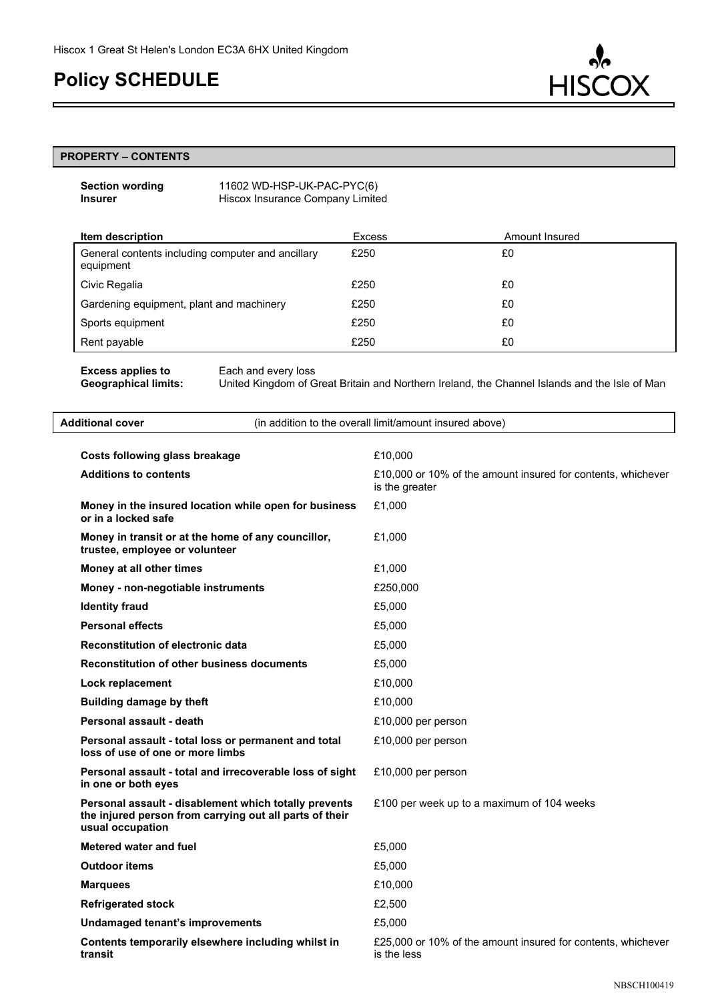

#### **PROPERTY – CONTENTS**

| <b>Section wording</b> | 11602 WD-HSP-UK-PAC-PYC(6)       |
|------------------------|----------------------------------|
| <b>Insurer</b>         | Hiscox Insurance Company Limited |

| Item description                                               | <b>Excess</b> | Amount Insured |
|----------------------------------------------------------------|---------------|----------------|
| General contents including computer and ancillary<br>equipment | £250          | £0             |
| Civic Regalia                                                  | £250          | £0             |
| Gardening equipment, plant and machinery                       | £250          | £0             |
| Sports equipment                                               | £250          | £0             |
| Rent payable                                                   | £250          | £0             |

**Excess applies to** Each and every loss<br> **Geographical limits:** United Kingdom of G

**Geographical limits:** United Kingdom of Great Britain and Northern Ireland, the Channel Islands and the Isle of Man

| <b>Additional cover</b><br>(in addition to the overall limit/amount insured above)                                                   |                                                                                |  |
|--------------------------------------------------------------------------------------------------------------------------------------|--------------------------------------------------------------------------------|--|
| Costs following glass breakage                                                                                                       | £10,000                                                                        |  |
| <b>Additions to contents</b>                                                                                                         | £10,000 or 10% of the amount insured for contents, whichever<br>is the greater |  |
| Money in the insured location while open for business<br>or in a locked safe                                                         | £1,000                                                                         |  |
| Money in transit or at the home of any councillor,<br>trustee, employee or volunteer                                                 | £1,000                                                                         |  |
| Money at all other times                                                                                                             | £1,000                                                                         |  |
| Money - non-negotiable instruments                                                                                                   | £250,000                                                                       |  |
| <b>Identity fraud</b>                                                                                                                | £5,000                                                                         |  |
| <b>Personal effects</b>                                                                                                              | £5,000                                                                         |  |
| <b>Reconstitution of electronic data</b>                                                                                             | £5,000                                                                         |  |
| <b>Reconstitution of other business documents</b>                                                                                    | £5,000                                                                         |  |
| Lock replacement                                                                                                                     | £10,000                                                                        |  |
| <b>Building damage by theft</b>                                                                                                      | £10,000                                                                        |  |
| Personal assault - death                                                                                                             | £10,000 per person                                                             |  |
| Personal assault - total loss or permanent and total<br>loss of use of one or more limbs                                             | £10,000 per person                                                             |  |
| Personal assault - total and irrecoverable loss of sight<br>in one or both eyes                                                      | £10,000 per person                                                             |  |
| Personal assault - disablement which totally prevents<br>the injured person from carrying out all parts of their<br>usual occupation | £100 per week up to a maximum of 104 weeks                                     |  |
| <b>Metered water and fuel</b>                                                                                                        | £5,000                                                                         |  |
| <b>Outdoor items</b>                                                                                                                 | £5,000                                                                         |  |
| <b>Marquees</b>                                                                                                                      | £10,000                                                                        |  |
| <b>Refrigerated stock</b>                                                                                                            | £2,500                                                                         |  |
| Undamaged tenant's improvements                                                                                                      | £5.000                                                                         |  |
| Contents temporarily elsewhere including whilst in<br>transit                                                                        | £25,000 or 10% of the amount insured for contents, whichever<br>is the less    |  |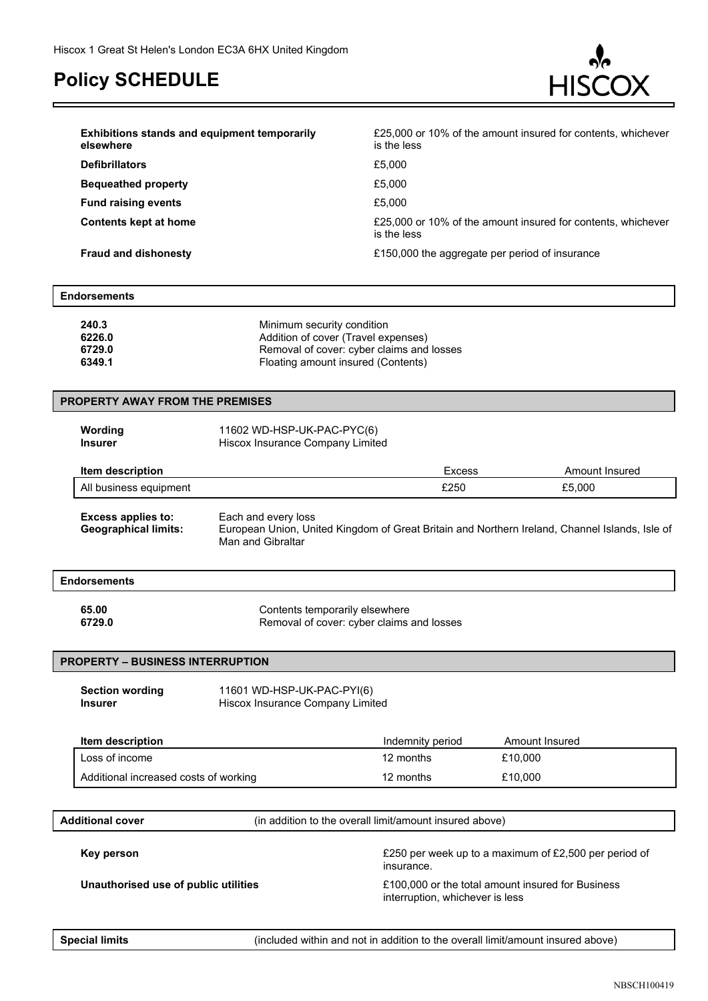

| <b>Exhibitions stands and equipment temporarily</b><br>elsewhere | £25,000 or 10% of the amount insured for contents, whichever<br>is the less |
|------------------------------------------------------------------|-----------------------------------------------------------------------------|
| <b>Defibrillators</b>                                            | £5,000                                                                      |
| <b>Bequeathed property</b>                                       | £5,000                                                                      |
| <b>Fund raising events</b>                                       | £5,000                                                                      |
| Contents kept at home                                            | £25,000 or 10% of the amount insured for contents, whichever<br>is the less |
| <b>Fraud and dishonesty</b>                                      | £150,000 the aggregate per period of insurance                              |

| Endorsements |                                           |  |
|--------------|-------------------------------------------|--|
| 240.3        | Minimum security condition                |  |
| 6226.0       | Addition of cover (Travel expenses)       |  |
| 6729.0       | Removal of cover: cyber claims and losses |  |

| 6349.1 | Floating amount insured (Contents) |  |
|--------|------------------------------------|--|
|        |                                    |  |

| <b>PROPERTY AWAY FROM THE PREMISES</b> |                                                          |                                                                                                                                            |        |                |
|----------------------------------------|----------------------------------------------------------|--------------------------------------------------------------------------------------------------------------------------------------------|--------|----------------|
|                                        | Wording<br><b>Insurer</b>                                | 11602 WD-HSP-UK-PAC-PYC(6)<br>Hiscox Insurance Company Limited                                                                             |        |                |
|                                        | Item description                                         |                                                                                                                                            | Excess | Amount Insured |
|                                        | All business equipment                                   |                                                                                                                                            | £250   | £5,000         |
|                                        | <b>Excess applies to:</b><br><b>Geographical limits:</b> | Each and every loss<br>European Union, United Kingdom of Great Britain and Northern Ireland, Channel Islands, Isle of<br>Man and Gibraltar |        |                |
|                                        | <b>Endorsements</b>                                      |                                                                                                                                            |        |                |
|                                        | 65.00<br>6729.0                                          | Contents temporarily elsewhere<br>Removal of cover: cyber claims and losses                                                                |        |                |

#### **PROPERTY – BUSINESS INTERRUPTION**

Section wording 11601 WD-HSP-UK-PAC-PYI(6) **Insurer** Hiscox Insurance Company Limited

| Item description                      | Indemnity period | Amount Insured |
|---------------------------------------|------------------|----------------|
| Loss of income                        | 12 months        | £10.000        |
| Additional increased costs of working | 12 months        | £10,000        |

**Additional cover** (in addition to the overall limit/amount insured above)

**Key person E250** per week up to a maximum of £2,500 per period of insurance.

Unauthorised use of public utilities **E100,000** or the total amount insured for Business interruption, whichever is less

**Special limits** (included within and not in addition to the overall limit/amount insured above)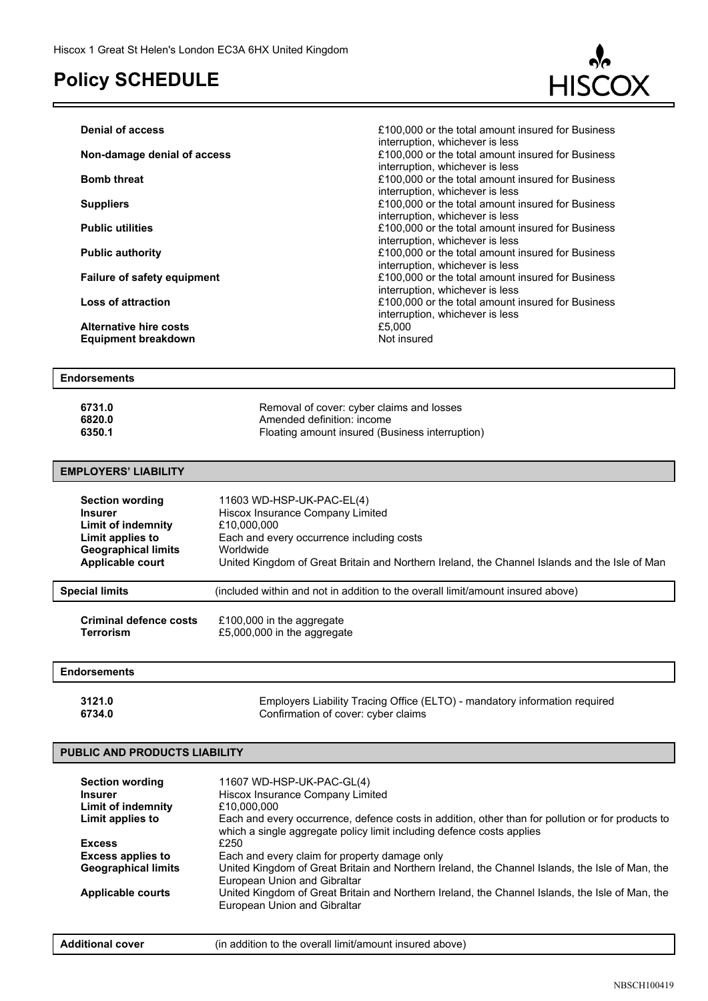

| <b>Denial of access</b>                                     | £100,000 or the total amount insured for Business<br>interruption, whichever is less |
|-------------------------------------------------------------|--------------------------------------------------------------------------------------|
| Non-damage denial of access                                 | £100,000 or the total amount insured for Business<br>interruption, whichever is less |
| <b>Bomb threat</b>                                          | £100,000 or the total amount insured for Business<br>interruption, whichever is less |
| <b>Suppliers</b>                                            | £100,000 or the total amount insured for Business<br>interruption, whichever is less |
| <b>Public utilities</b>                                     | £100,000 or the total amount insured for Business<br>interruption, whichever is less |
| <b>Public authority</b>                                     | £100,000 or the total amount insured for Business<br>interruption, whichever is less |
| <b>Failure of safety equipment</b>                          | £100,000 or the total amount insured for Business<br>interruption, whichever is less |
| <b>Loss of attraction</b>                                   | £100,000 or the total amount insured for Business<br>interruption, whichever is less |
| <b>Alternative hire costs</b><br><b>Equipment breakdown</b> | £5,000<br>Not insured                                                                |
|                                                             |                                                                                      |

#### **Endorsements**

| 6731.0 | Removal of cover: cyber claims and losses       |
|--------|-------------------------------------------------|
| 6820.0 | Amended definition: income                      |
| 6350.1 | Floating amount insured (Business interruption) |

#### **EMPLOYERS' LIABILITY**

| <b>Section wording</b>     | 11603 WD-HSP-UK-PAC-EL(4)                                                                     |
|----------------------------|-----------------------------------------------------------------------------------------------|
| <b>Insurer</b>             | Hiscox Insurance Company Limited                                                              |
| <b>Limit of indemnity</b>  | £10,000,000                                                                                   |
| Limit applies to           | Each and every occurrence including costs                                                     |
| <b>Geographical limits</b> | Worldwide                                                                                     |
| <b>Applicable court</b>    | United Kingdom of Great Britain and Northern Ireland, the Channel Islands and the Isle of Man |
| <b>Special limits</b>      | (included within and not in addition to the overall limit/amount insured above)               |

| <b>Criminal defence costs</b> | £100,000 in the aggregate   |
|-------------------------------|-----------------------------|
| Terrorism                     | £5,000,000 in the aggregate |

#### **Endorsements**

**3121.0** Employers Liability Tracing Office (ELTO) - mandatory information required<br>**6734.0** Confirmation of cover: cyber claims **6734.0** Confirmation of cover: cyber claims

### **PUBLIC AND PRODUCTS LIABILITY**

| <b>Section wording</b><br><b>Insurer</b> | 11607 WD-HSP-UK-PAC-GL(4)<br>Hiscox Insurance Company Limited                                                                                                              |
|------------------------------------------|----------------------------------------------------------------------------------------------------------------------------------------------------------------------------|
| Limit of indemnity                       | £10,000,000                                                                                                                                                                |
| Limit applies to                         | Each and every occurrence, defence costs in addition, other than for pollution or for products to<br>which a single aggregate policy limit including defence costs applies |
| <b>Excess</b>                            | £250                                                                                                                                                                       |
| <b>Excess applies to</b>                 | Each and every claim for property damage only                                                                                                                              |
| <b>Geographical limits</b>               | United Kingdom of Great Britain and Northern Ireland, the Channel Islands, the Isle of Man, the<br>European Union and Gibraltar                                            |
| <b>Applicable courts</b>                 | United Kingdom of Great Britain and Northern Ireland, the Channel Islands, the Isle of Man, the<br>European Union and Gibraltar                                            |

| <b>Additional cover</b> | (in addition to the overall limit/amount insured above) |  |
|-------------------------|---------------------------------------------------------|--|
|-------------------------|---------------------------------------------------------|--|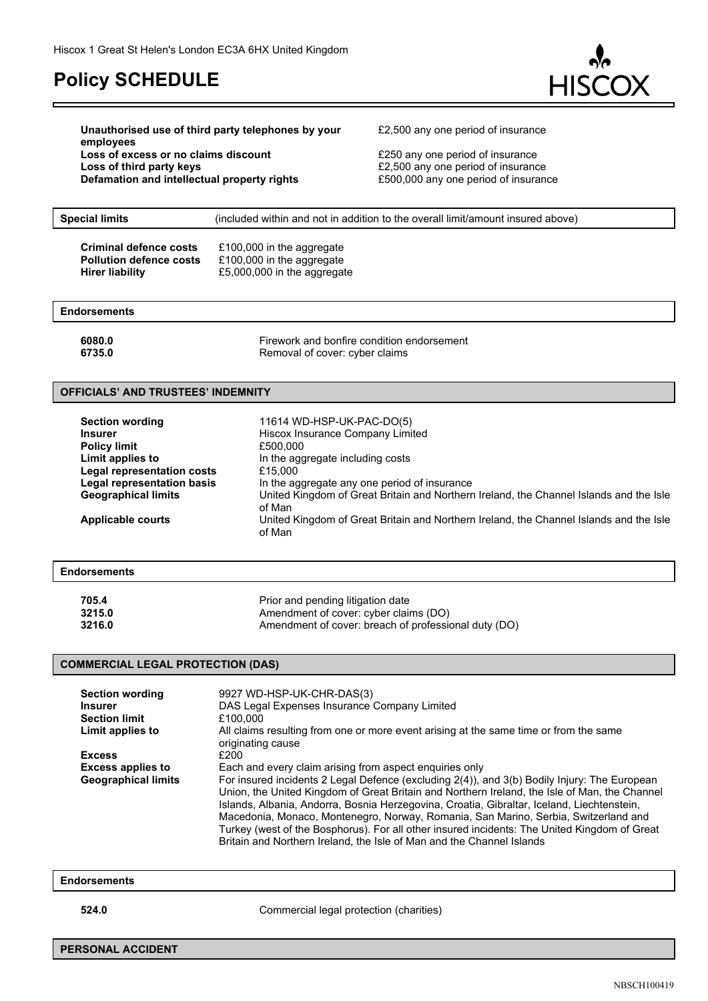

**Unauthorised use of third party telephones by your employees Loss of excess or no claims discount E250** any one period of insurance **Loss of third party keys E2,500** any one period of insurance **Defamation and intellectual property rights E500,000** any one period of insurance

£2,500 any one period of insurance

| (included within and not in addition to the overall limit/amount insured above)                                                                                                                               |
|---------------------------------------------------------------------------------------------------------------------------------------------------------------------------------------------------------------|
| £100,000 in the aggregate<br>£100,000 in the aggregate<br>£5,000,000 in the aggregate                                                                                                                         |
|                                                                                                                                                                                                               |
| Firework and bonfire condition endorsement<br>Removal of cover: cyber claims                                                                                                                                  |
| <b>OFFICIALS' AND TRUSTEES' INDEMNITY</b>                                                                                                                                                                     |
| 11614 WD-HSP-UK-PAC-DO(5)<br>Hiscox Insurance Company Limited<br>£500,000<br>In the aggregate including costs<br><b>Legal representation costs</b><br>£15,000<br>In the aggregate any one period of insurance |
| Legal representation basis                                                                                                                                                                                    |

**Geographical limits** United Kingdom of Great Britain and Northern Ireland, the Channel Islands and the Isle of Man

**Applicable courts** United Kingdom of Great Britain and Northern Ireland, the Channel Islands and the Isle of Man

#### **Endorsements**

| 705.4  | Prior and pending litigation date                    |
|--------|------------------------------------------------------|
| 3215.0 | Amendment of cover: cyber claims (DO)                |
| 3216.0 | Amendment of cover: breach of professional duty (DO) |

#### **COMMERCIAL LEGAL PROTECTION (DAS)**

| <b>Section wording</b><br><b>Insurer</b><br><b>Section limit</b><br>Limit applies to | 9927 WD-HSP-UK-CHR-DAS(3)<br>DAS Legal Expenses Insurance Company Limited<br>£100,000<br>All claims resulting from one or more event arising at the same time or from the same<br>originating cause                                                                                                                                                        |
|--------------------------------------------------------------------------------------|------------------------------------------------------------------------------------------------------------------------------------------------------------------------------------------------------------------------------------------------------------------------------------------------------------------------------------------------------------|
| <b>Excess</b>                                                                        | £200                                                                                                                                                                                                                                                                                                                                                       |
| <b>Excess applies to</b><br><b>Geographical limits</b>                               | Each and every claim arising from aspect enquiries only<br>For insured incidents 2 Legal Defence (excluding 2(4)), and 3(b) Bodily Injury: The European<br>Union, the United Kingdom of Great Britain and Northern Ireland, the Isle of Man, the Channel                                                                                                   |
|                                                                                      | Islands, Albania, Andorra, Bosnia Herzegovina, Croatia, Gibraltar, Iceland, Liechtenstein,<br>Macedonia, Monaco, Montenegro, Norway, Romania, San Marino, Serbia, Switzerland and<br>Turkey (west of the Bosphorus). For all other insured incidents: The United Kingdom of Great<br>Britain and Northern Ireland, the Isle of Man and the Channel Islands |

### **Endorsements**

**524.0** Commercial legal protection (charities)

**PERSONAL ACCIDENT**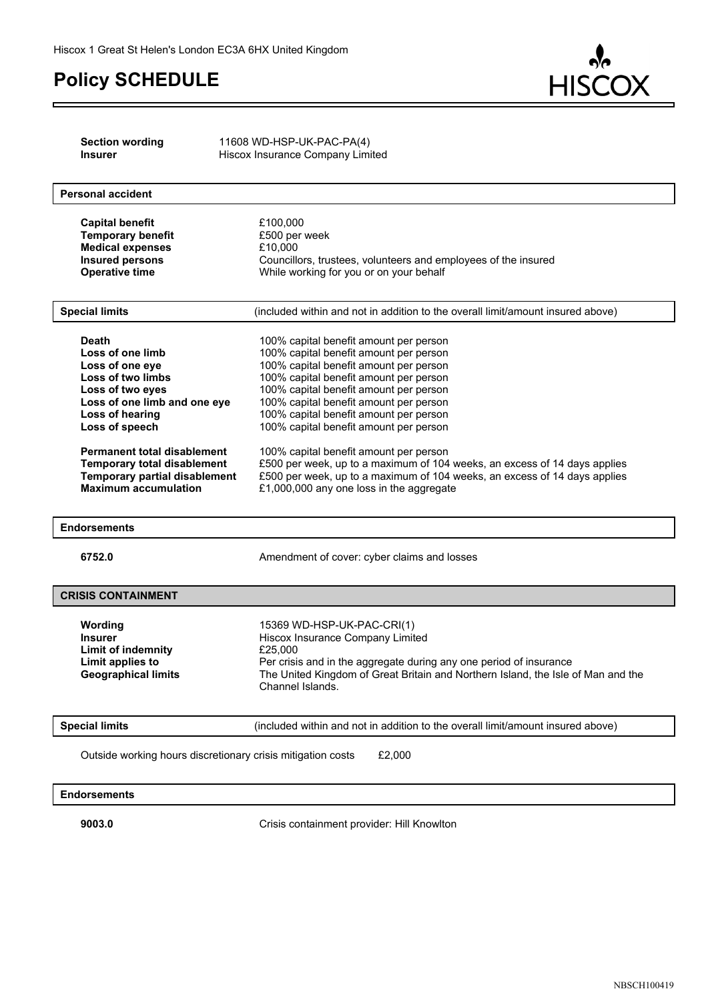c



| <b>Section wording</b><br><b>Insurer</b>                            | 11608 WD-HSP-UK-PAC-PA(4)<br>Hiscox Insurance Company Limited                                                                                          |
|---------------------------------------------------------------------|--------------------------------------------------------------------------------------------------------------------------------------------------------|
|                                                                     |                                                                                                                                                        |
| <b>Personal accident</b>                                            |                                                                                                                                                        |
| <b>Capital benefit</b>                                              | £100,000                                                                                                                                               |
| <b>Temporary benefit</b>                                            | £500 per week                                                                                                                                          |
| <b>Medical expenses</b><br><b>Insured persons</b>                   | £10,000<br>Councillors, trustees, volunteers and employees of the insured                                                                              |
| <b>Operative time</b>                                               | While working for you or on your behalf                                                                                                                |
|                                                                     |                                                                                                                                                        |
| <b>Special limits</b>                                               | (included within and not in addition to the overall limit/amount insured above)                                                                        |
| <b>Death</b>                                                        | 100% capital benefit amount per person                                                                                                                 |
| Loss of one limb                                                    | 100% capital benefit amount per person                                                                                                                 |
| Loss of one eye                                                     | 100% capital benefit amount per person                                                                                                                 |
| Loss of two limbs<br>Loss of two eyes                               | 100% capital benefit amount per person<br>100% capital benefit amount per person                                                                       |
| Loss of one limb and one eye                                        | 100% capital benefit amount per person                                                                                                                 |
| Loss of hearing                                                     | 100% capital benefit amount per person                                                                                                                 |
| Loss of speech                                                      | 100% capital benefit amount per person                                                                                                                 |
| <b>Permanent total disablement</b>                                  | 100% capital benefit amount per person                                                                                                                 |
| <b>Temporary total disablement</b>                                  | £500 per week, up to a maximum of 104 weeks, an excess of 14 days applies                                                                              |
| <b>Temporary partial disablement</b><br><b>Maximum accumulation</b> | £500 per week, up to a maximum of 104 weeks, an excess of 14 days applies<br>£1,000,000 any one loss in the aggregate                                  |
|                                                                     |                                                                                                                                                        |
| <b>Endorsements</b>                                                 |                                                                                                                                                        |
| 6752.0                                                              | Amendment of cover: cyber claims and losses                                                                                                            |
|                                                                     |                                                                                                                                                        |
| <b>CRISIS CONTAINMENT</b>                                           |                                                                                                                                                        |
| Wording                                                             | 15369 WD-HSP-UK-PAC-CRI(1)                                                                                                                             |
| <b>Insurer</b>                                                      | Hiscox Insurance Company Limited                                                                                                                       |
| <b>Limit of indemnity</b>                                           | £25,000                                                                                                                                                |
| Limit applies to<br><b>Geographical limits</b>                      | Per crisis and in the aggregate during any one period of insurance<br>The United Kingdom of Great Britain and Northern Island, the Isle of Man and the |
|                                                                     | Channel Islands.                                                                                                                                       |
|                                                                     |                                                                                                                                                        |
| <b>Special limits</b>                                               | (included within and not in addition to the overall limit/amount insured above)                                                                        |
| Outside working hours discretionary crisis mitigation costs         | £2,000                                                                                                                                                 |
| <b>Endorsements</b>                                                 |                                                                                                                                                        |
|                                                                     |                                                                                                                                                        |

**9003.0** Crisis containment provider: Hill Knowlton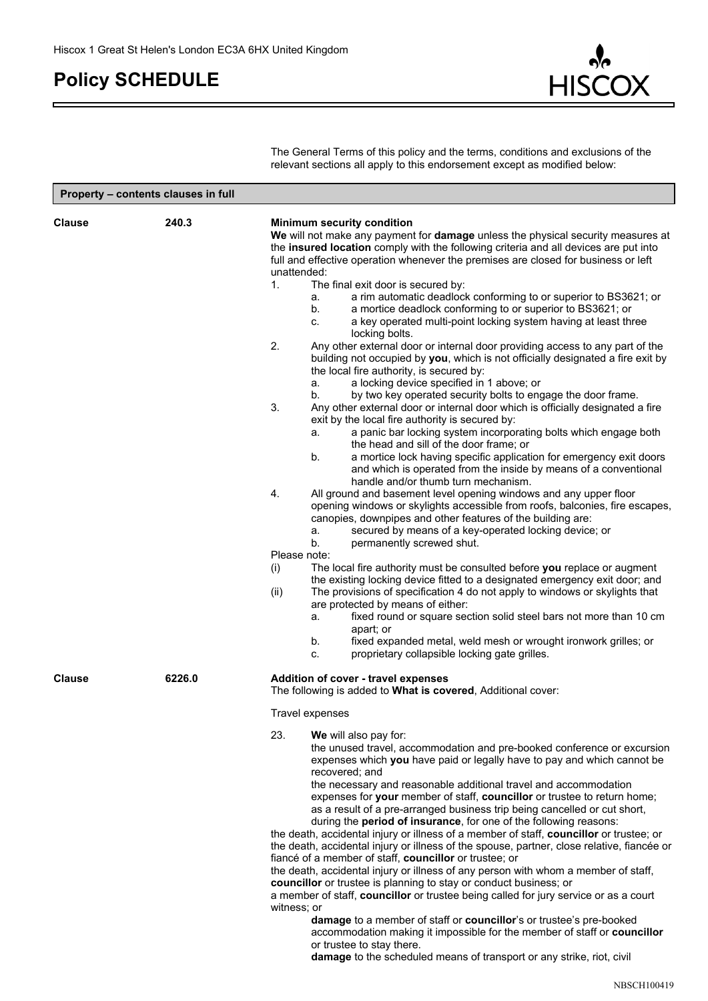

The General Terms of this policy and the terms, conditions and exclusions of the relevant sections all apply to this endorsement except as modified below:

| Property - contents clauses in full |        |                                                                                                                                                                                                                                                                                                                                                                                                                                                                                                                                                                                                                                                                                                                                                                                                                                                                                                                                                                                                                                                                                                                                                                                                                                                                                                                                                                                                                                                                                                                                                                                                                                                                                                                                                                                                                                                                                                                                                                                                                                                                                                                                                                                                                                                                                  |
|-------------------------------------|--------|----------------------------------------------------------------------------------------------------------------------------------------------------------------------------------------------------------------------------------------------------------------------------------------------------------------------------------------------------------------------------------------------------------------------------------------------------------------------------------------------------------------------------------------------------------------------------------------------------------------------------------------------------------------------------------------------------------------------------------------------------------------------------------------------------------------------------------------------------------------------------------------------------------------------------------------------------------------------------------------------------------------------------------------------------------------------------------------------------------------------------------------------------------------------------------------------------------------------------------------------------------------------------------------------------------------------------------------------------------------------------------------------------------------------------------------------------------------------------------------------------------------------------------------------------------------------------------------------------------------------------------------------------------------------------------------------------------------------------------------------------------------------------------------------------------------------------------------------------------------------------------------------------------------------------------------------------------------------------------------------------------------------------------------------------------------------------------------------------------------------------------------------------------------------------------------------------------------------------------------------------------------------------------|
| <b>Clause</b>                       | 240.3  | <b>Minimum security condition</b><br>We will not make any payment for damage unless the physical security measures at<br>the insured location comply with the following criteria and all devices are put into<br>full and effective operation whenever the premises are closed for business or left<br>unattended:<br>1.<br>The final exit door is secured by:<br>a rim automatic deadlock conforming to or superior to BS3621; or<br>а.<br>a mortice deadlock conforming to or superior to BS3621; or<br>b.<br>a key operated multi-point locking system having at least three<br>c.<br>locking bolts.<br>2.<br>Any other external door or internal door providing access to any part of the<br>building not occupied by you, which is not officially designated a fire exit by<br>the local fire authority, is secured by:<br>a locking device specified in 1 above; or<br>а.<br>by two key operated security bolts to engage the door frame.<br>b.<br>3.<br>Any other external door or internal door which is officially designated a fire<br>exit by the local fire authority is secured by:<br>a panic bar locking system incorporating bolts which engage both<br>а.<br>the head and sill of the door frame; or<br>a mortice lock having specific application for emergency exit doors<br>b.<br>and which is operated from the inside by means of a conventional<br>handle and/or thumb turn mechanism.<br>4.<br>All ground and basement level opening windows and any upper floor<br>opening windows or skylights accessible from roofs, balconies, fire escapes,<br>canopies, downpipes and other features of the building are:<br>secured by means of a key-operated locking device; or<br>а.<br>b.<br>permanently screwed shut.<br>Please note:<br>The local fire authority must be consulted before you replace or augment<br>(i)<br>the existing locking device fitted to a designated emergency exit door; and<br>The provisions of specification 4 do not apply to windows or skylights that<br>(ii)<br>are protected by means of either:<br>fixed round or square section solid steel bars not more than 10 cm<br>а.<br>apart; or<br>b.<br>fixed expanded metal, weld mesh or wrought ironwork grilles; or<br>proprietary collapsible locking gate grilles.<br>C. |
| <b>Clause</b>                       | 6226.0 | Addition of cover - travel expenses<br>The following is added to What is covered, Additional cover:<br>Travel expenses<br>23.<br>We will also pay for:<br>the unused travel, accommodation and pre-booked conference or excursion<br>expenses which you have paid or legally have to pay and which cannot be<br>recovered; and<br>the necessary and reasonable additional travel and accommodation<br>expenses for your member of staff, councillor or trustee to return home;<br>as a result of a pre-arranged business trip being cancelled or cut short,<br>during the period of insurance, for one of the following reasons:<br>the death, accidental injury or illness of a member of staff, councillor or trustee; or<br>the death, accidental injury or illness of the spouse, partner, close relative, fiancée or<br>fiancé of a member of staff, councillor or trustee; or<br>the death, accidental injury or illness of any person with whom a member of staff,<br>councillor or trustee is planning to stay or conduct business; or<br>a member of staff, councillor or trustee being called for jury service or as a court<br>witness; or<br>damage to a member of staff or councillor's or trustee's pre-booked<br>accommodation making it impossible for the member of staff or councillor<br>or trustee to stay there.<br>damage to the scheduled means of transport or any strike, riot, civil                                                                                                                                                                                                                                                                                                                                                                                                                                                                                                                                                                                                                                                                                                                                                                                                                                                                   |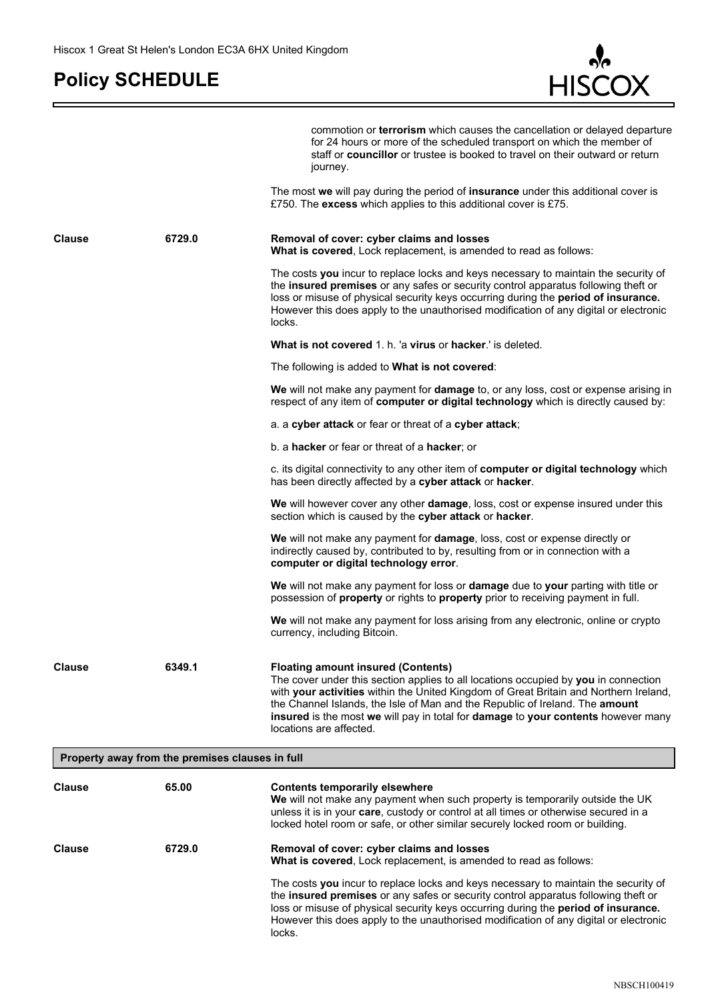c



|               |                                                 | commotion or <b>terrorism</b> which causes the cancellation or delayed departure<br>for 24 hours or more of the scheduled transport on which the member of<br>staff or <b>councillor</b> or trustee is booked to travel on their outward or return<br>journey.                                                                                                                                                            |
|---------------|-------------------------------------------------|---------------------------------------------------------------------------------------------------------------------------------------------------------------------------------------------------------------------------------------------------------------------------------------------------------------------------------------------------------------------------------------------------------------------------|
|               |                                                 | The most we will pay during the period of <b>insurance</b> under this additional cover is<br>£750. The excess which applies to this additional cover is £75.                                                                                                                                                                                                                                                              |
| <b>Clause</b> | 6729.0                                          | Removal of cover: cyber claims and losses<br>What is covered, Lock replacement, is amended to read as follows:                                                                                                                                                                                                                                                                                                            |
|               |                                                 | The costs you incur to replace locks and keys necessary to maintain the security of<br>the insured premises or any safes or security control apparatus following theft or<br>loss or misuse of physical security keys occurring during the period of insurance.<br>However this does apply to the unauthorised modification of any digital or electronic<br>locks.                                                        |
|               |                                                 | What is not covered 1. h. 'a virus or hacker.' is deleted.                                                                                                                                                                                                                                                                                                                                                                |
|               |                                                 | The following is added to <b>What is not covered</b> :                                                                                                                                                                                                                                                                                                                                                                    |
|               |                                                 | We will not make any payment for damage to, or any loss, cost or expense arising in<br>respect of any item of computer or digital technology which is directly caused by:                                                                                                                                                                                                                                                 |
|               |                                                 | a. a cyber attack or fear or threat of a cyber attack;                                                                                                                                                                                                                                                                                                                                                                    |
|               |                                                 | b. a hacker or fear or threat of a hacker; or                                                                                                                                                                                                                                                                                                                                                                             |
|               |                                                 | c. its digital connectivity to any other item of computer or digital technology which<br>has been directly affected by a cyber attack or hacker.                                                                                                                                                                                                                                                                          |
|               |                                                 | We will however cover any other damage, loss, cost or expense insured under this<br>section which is caused by the cyber attack or hacker.                                                                                                                                                                                                                                                                                |
|               |                                                 | <b>We</b> will not make any payment for <b>damage</b> , loss, cost or expense directly or<br>indirectly caused by, contributed to by, resulting from or in connection with a<br>computer or digital technology error.                                                                                                                                                                                                     |
|               |                                                 | We will not make any payment for loss or damage due to your parting with title or<br>possession of property or rights to property prior to receiving payment in full.                                                                                                                                                                                                                                                     |
|               |                                                 | We will not make any payment for loss arising from any electronic, online or crypto<br>currency, including Bitcoin.                                                                                                                                                                                                                                                                                                       |
| <b>Clause</b> | 6349.1                                          | <b>Floating amount insured (Contents)</b><br>The cover under this section applies to all locations occupied by you in connection<br>with your activities within the United Kingdom of Great Britain and Northern Ireland,<br>the Channel Islands, the Isle of Man and the Republic of Ireland. The amount<br>insured is the most we will pay in total for damage to your contents however many<br>locations are affected. |
|               | Property away from the premises clauses in full |                                                                                                                                                                                                                                                                                                                                                                                                                           |
| <b>Clause</b> | 65.00                                           | <b>Contents temporarily elsewhere</b><br>We will not make any payment when such property is temporarily outside the UK<br>unless it is in your care, custody or control at all times or otherwise secured in a<br>locked hotel room or safe, or other similar securely locked room or building.                                                                                                                           |
| <b>Clause</b> | 6729.0                                          | Removal of cover: cyber claims and losses<br>What is covered, Lock replacement, is amended to read as follows:                                                                                                                                                                                                                                                                                                            |
|               |                                                 | The costs you incur to replace locks and keys necessary to maintain the security of<br>the insured premises or any safes or security control apparatus following theft or<br>loss or misuse of physical security keys occurring during the period of insurance.<br>However this does apply to the unauthorised modification of any digital or electronic<br>locks.                                                        |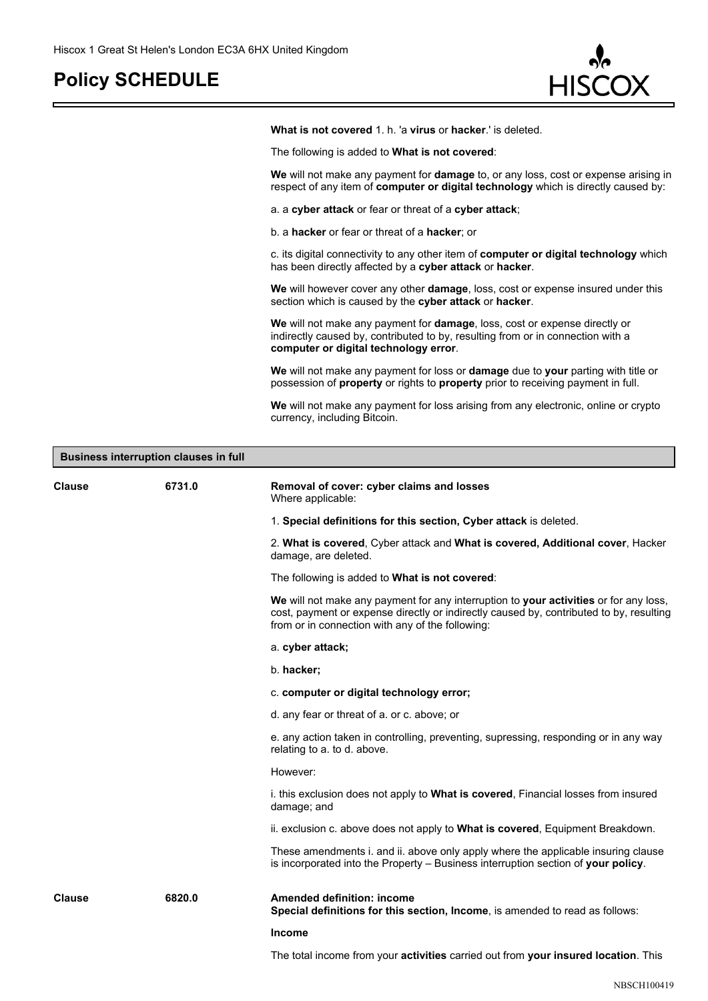

**What is not covered** 1. h. 'a **virus** or **hacker**.' is deleted.

The following is added to **What is not covered**:

**We** will not make any payment for **damage** to, or any loss, cost or expense arising in respect of any item of **computer or digital technology** which is directly caused by:

a. a **cyber attack** or fear or threat of a **cyber attack**;

b. a **hacker** or fear or threat of a **hacker**; or

c. its digital connectivity to any other item of **computer or digital technology** which has been directly affected by a **cyber attack** or **hacker**.

**We** will however cover any other **damage**, loss, cost or expense insured under this section which is caused by the **cyber attack** or **hacker**.

**We** will not make any payment for **damage**, loss, cost or expense directly or indirectly caused by, contributed to by, resulting from or in connection with a **computer or digital technology error**.

**We** will not make any payment for loss or **damage** due to **your** parting with title or possession of **property** or rights to **property** prior to receiving payment in full.

**We** will not make any payment for loss arising from any electronic, online or crypto currency, including Bitcoin.

| <b>Business interruption clauses in full</b> |        |                                                                                                                                                                                                                                      |
|----------------------------------------------|--------|--------------------------------------------------------------------------------------------------------------------------------------------------------------------------------------------------------------------------------------|
| <b>Clause</b>                                | 6731.0 | Removal of cover: cyber claims and losses<br>Where applicable:                                                                                                                                                                       |
|                                              |        | 1. Special definitions for this section, Cyber attack is deleted.                                                                                                                                                                    |
|                                              |        | 2. What is covered, Cyber attack and What is covered, Additional cover, Hacker<br>damage, are deleted.                                                                                                                               |
|                                              |        | The following is added to What is not covered:                                                                                                                                                                                       |
|                                              |        | We will not make any payment for any interruption to your activities or for any loss,<br>cost, payment or expense directly or indirectly caused by, contributed to by, resulting<br>from or in connection with any of the following: |
|                                              |        | a. cyber attack;                                                                                                                                                                                                                     |
|                                              |        | b. hacker;                                                                                                                                                                                                                           |
|                                              |        | c. computer or digital technology error;                                                                                                                                                                                             |
|                                              |        | d. any fear or threat of a. or c. above; or                                                                                                                                                                                          |
|                                              |        | e. any action taken in controlling, preventing, supressing, responding or in any way<br>relating to a. to d. above.                                                                                                                  |
|                                              |        | However:                                                                                                                                                                                                                             |
|                                              |        | i. this exclusion does not apply to <b>What is covered</b> , Financial losses from insured<br>damage; and                                                                                                                            |
|                                              |        | ii. exclusion c. above does not apply to <b>What is covered</b> , Equipment Breakdown.                                                                                                                                               |
|                                              |        | These amendments i. and ii. above only apply where the applicable insuring clause<br>is incorporated into the Property - Business interruption section of your policy.                                                               |
| Clause                                       | 6820.0 | <b>Amended definition: income</b><br>Special definitions for this section, Income, is amended to read as follows:                                                                                                                    |
|                                              |        | <b>Income</b>                                                                                                                                                                                                                        |
|                                              |        | The total income from your <b>activities</b> carried out from <b>your insured location</b> . This                                                                                                                                    |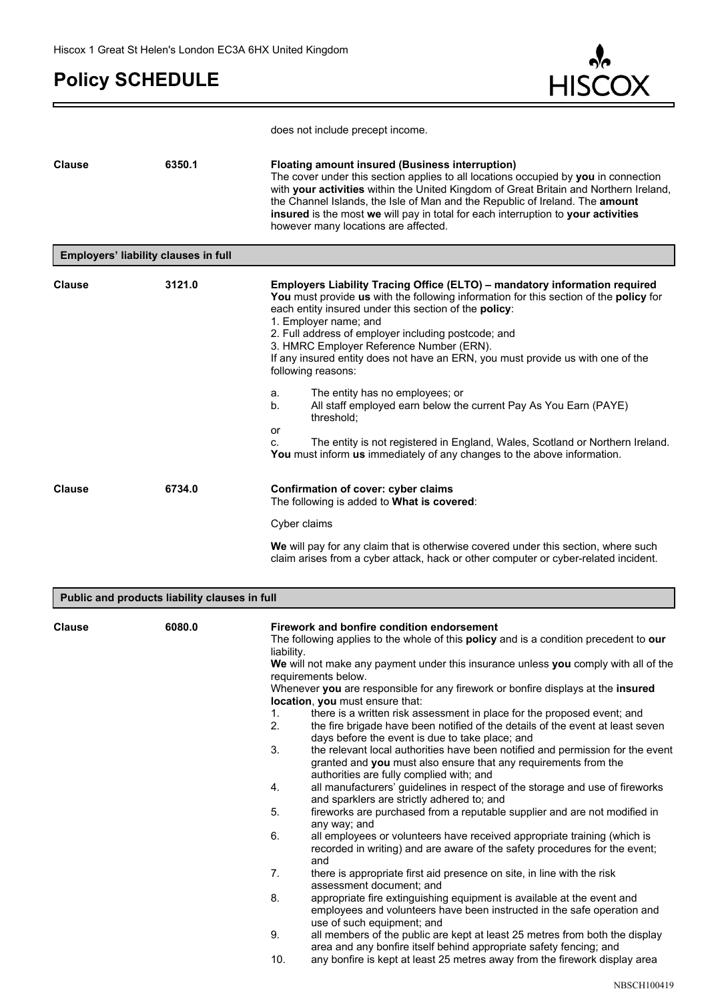c



does not include precept income.

| <b>Clause</b> | 6350.1                                                  | <b>Floating amount insured (Business interruption)</b><br>The cover under this section applies to all locations occupied by you in connection<br>with your activities within the United Kingdom of Great Britain and Northern Ireland,<br>the Channel Islands, the Isle of Man and the Republic of Ireland. The amount<br>insured is the most we will pay in total for each interruption to your activities<br>however many locations are affected.                                                                                                                                                                                                                                                                                                                                                                                                                                                                                                                                                                                                                                                                                                                                                                                                                                                                                                                                                                                                                                                                                                                                                                                                                                                                                                                                                                |
|---------------|---------------------------------------------------------|--------------------------------------------------------------------------------------------------------------------------------------------------------------------------------------------------------------------------------------------------------------------------------------------------------------------------------------------------------------------------------------------------------------------------------------------------------------------------------------------------------------------------------------------------------------------------------------------------------------------------------------------------------------------------------------------------------------------------------------------------------------------------------------------------------------------------------------------------------------------------------------------------------------------------------------------------------------------------------------------------------------------------------------------------------------------------------------------------------------------------------------------------------------------------------------------------------------------------------------------------------------------------------------------------------------------------------------------------------------------------------------------------------------------------------------------------------------------------------------------------------------------------------------------------------------------------------------------------------------------------------------------------------------------------------------------------------------------------------------------------------------------------------------------------------------------|
|               | Employers' liability clauses in full                    |                                                                                                                                                                                                                                                                                                                                                                                                                                                                                                                                                                                                                                                                                                                                                                                                                                                                                                                                                                                                                                                                                                                                                                                                                                                                                                                                                                                                                                                                                                                                                                                                                                                                                                                                                                                                                    |
| <b>Clause</b> | 3121.0                                                  | Employers Liability Tracing Office (ELTO) - mandatory information required<br>You must provide us with the following information for this section of the policy for<br>each entity insured under this section of the policy:<br>1. Employer name; and<br>2. Full address of employer including postcode; and<br>3. HMRC Employer Reference Number (ERN).<br>If any insured entity does not have an ERN, you must provide us with one of the<br>following reasons:<br>The entity has no employees; or<br>a.<br>All staff employed earn below the current Pay As You Earn (PAYE)<br>b.<br>threshold;<br>or                                                                                                                                                                                                                                                                                                                                                                                                                                                                                                                                                                                                                                                                                                                                                                                                                                                                                                                                                                                                                                                                                                                                                                                                           |
|               |                                                         | The entity is not registered in England, Wales, Scotland or Northern Ireland.<br>C.<br>You must inform us immediately of any changes to the above information.                                                                                                                                                                                                                                                                                                                                                                                                                                                                                                                                                                                                                                                                                                                                                                                                                                                                                                                                                                                                                                                                                                                                                                                                                                                                                                                                                                                                                                                                                                                                                                                                                                                     |
| <b>Clause</b> | 6734.0                                                  | Confirmation of cover: cyber claims<br>The following is added to What is covered:<br>Cyber claims<br>We will pay for any claim that is otherwise covered under this section, where such<br>claim arises from a cyber attack, hack or other computer or cyber-related incident.                                                                                                                                                                                                                                                                                                                                                                                                                                                                                                                                                                                                                                                                                                                                                                                                                                                                                                                                                                                                                                                                                                                                                                                                                                                                                                                                                                                                                                                                                                                                     |
|               |                                                         |                                                                                                                                                                                                                                                                                                                                                                                                                                                                                                                                                                                                                                                                                                                                                                                                                                                                                                                                                                                                                                                                                                                                                                                                                                                                                                                                                                                                                                                                                                                                                                                                                                                                                                                                                                                                                    |
| <b>Clause</b> | Public and products liability clauses in full<br>6080.0 | Firework and bonfire condition endorsement<br>The following applies to the whole of this policy and is a condition precedent to our<br>liability.<br>We will not make any payment under this insurance unless you comply with all of the<br>requirements below.<br>Whenever you are responsible for any firework or bonfire displays at the insured<br>location, you must ensure that:<br>1.<br>there is a written risk assessment in place for the proposed event; and<br>2.<br>the fire brigade have been notified of the details of the event at least seven<br>days before the event is due to take place; and<br>3.<br>the relevant local authorities have been notified and permission for the event<br>granted and you must also ensure that any requirements from the<br>authorities are fully complied with; and<br>4.<br>all manufacturers' guidelines in respect of the storage and use of fireworks<br>and sparklers are strictly adhered to; and<br>fireworks are purchased from a reputable supplier and are not modified in<br>5.<br>any way; and<br>6.<br>all employees or volunteers have received appropriate training (which is<br>recorded in writing) and are aware of the safety procedures for the event;<br>and<br>7.<br>there is appropriate first aid presence on site, in line with the risk<br>assessment document; and<br>8.<br>appropriate fire extinguishing equipment is available at the event and<br>employees and volunteers have been instructed in the safe operation and<br>use of such equipment; and<br>9.<br>all members of the public are kept at least 25 metres from both the display<br>area and any bonfire itself behind appropriate safety fencing; and<br>10.<br>any bonfire is kept at least 25 metres away from the firework display area<br><b>NBSCH100419</b> |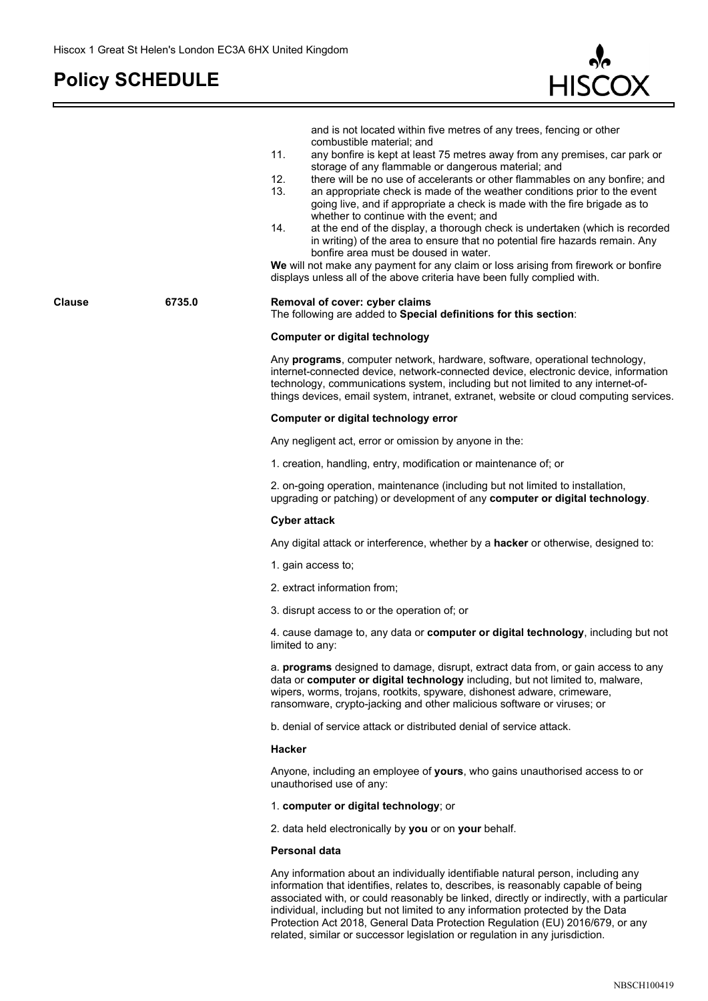F



|        |        | and is not located within five metres of any trees, fencing or other<br>combustible material; and<br>11.<br>any bonfire is kept at least 75 metres away from any premises, car park or<br>storage of any flammable or dangerous material; and<br>12.<br>there will be no use of accelerants or other flammables on any bonfire; and<br>13.<br>an appropriate check is made of the weather conditions prior to the event<br>going live, and if appropriate a check is made with the fire brigade as to<br>whether to continue with the event; and<br>14.<br>at the end of the display, a thorough check is undertaken (which is recorded<br>in writing) of the area to ensure that no potential fire hazards remain. Any<br>bonfire area must be doused in water.<br>We will not make any payment for any claim or loss arising from firework or bonfire<br>displays unless all of the above criteria have been fully complied with. |
|--------|--------|-------------------------------------------------------------------------------------------------------------------------------------------------------------------------------------------------------------------------------------------------------------------------------------------------------------------------------------------------------------------------------------------------------------------------------------------------------------------------------------------------------------------------------------------------------------------------------------------------------------------------------------------------------------------------------------------------------------------------------------------------------------------------------------------------------------------------------------------------------------------------------------------------------------------------------------|
| Clause | 6735.0 | Removal of cover: cyber claims<br>The following are added to Special definitions for this section:                                                                                                                                                                                                                                                                                                                                                                                                                                                                                                                                                                                                                                                                                                                                                                                                                                  |
|        |        | <b>Computer or digital technology</b>                                                                                                                                                                                                                                                                                                                                                                                                                                                                                                                                                                                                                                                                                                                                                                                                                                                                                               |
|        |        | Any programs, computer network, hardware, software, operational technology,<br>internet-connected device, network-connected device, electronic device, information<br>technology, communications system, including but not limited to any internet-of-<br>things devices, email system, intranet, extranet, website or cloud computing services.                                                                                                                                                                                                                                                                                                                                                                                                                                                                                                                                                                                    |
|        |        | Computer or digital technology error                                                                                                                                                                                                                                                                                                                                                                                                                                                                                                                                                                                                                                                                                                                                                                                                                                                                                                |
|        |        | Any negligent act, error or omission by anyone in the:                                                                                                                                                                                                                                                                                                                                                                                                                                                                                                                                                                                                                                                                                                                                                                                                                                                                              |
|        |        | 1. creation, handling, entry, modification or maintenance of; or                                                                                                                                                                                                                                                                                                                                                                                                                                                                                                                                                                                                                                                                                                                                                                                                                                                                    |
|        |        | 2. on-going operation, maintenance (including but not limited to installation,<br>upgrading or patching) or development of any computer or digital technology.                                                                                                                                                                                                                                                                                                                                                                                                                                                                                                                                                                                                                                                                                                                                                                      |
|        |        | <b>Cyber attack</b>                                                                                                                                                                                                                                                                                                                                                                                                                                                                                                                                                                                                                                                                                                                                                                                                                                                                                                                 |
|        |        | Any digital attack or interference, whether by a hacker or otherwise, designed to:                                                                                                                                                                                                                                                                                                                                                                                                                                                                                                                                                                                                                                                                                                                                                                                                                                                  |
|        |        | 1. gain access to;                                                                                                                                                                                                                                                                                                                                                                                                                                                                                                                                                                                                                                                                                                                                                                                                                                                                                                                  |
|        |        | 2. extract information from;                                                                                                                                                                                                                                                                                                                                                                                                                                                                                                                                                                                                                                                                                                                                                                                                                                                                                                        |
|        |        | 3. disrupt access to or the operation of; or                                                                                                                                                                                                                                                                                                                                                                                                                                                                                                                                                                                                                                                                                                                                                                                                                                                                                        |
|        |        | 4. cause damage to, any data or computer or digital technology, including but not<br>limited to any:                                                                                                                                                                                                                                                                                                                                                                                                                                                                                                                                                                                                                                                                                                                                                                                                                                |
|        |        | a. programs designed to damage, disrupt, extract data from, or gain access to any<br>data or computer or digital technology including, but not limited to, malware,<br>wipers, worms, trojans, rootkits, spyware, dishonest adware, crimeware,<br>ransomware, crypto-jacking and other malicious software or viruses; or                                                                                                                                                                                                                                                                                                                                                                                                                                                                                                                                                                                                            |
|        |        | b, denial of service attack or distributed denial of service attack.                                                                                                                                                                                                                                                                                                                                                                                                                                                                                                                                                                                                                                                                                                                                                                                                                                                                |
|        |        | Hacker                                                                                                                                                                                                                                                                                                                                                                                                                                                                                                                                                                                                                                                                                                                                                                                                                                                                                                                              |
|        |        | Anyone, including an employee of yours, who gains unauthorised access to or<br>unauthorised use of any:                                                                                                                                                                                                                                                                                                                                                                                                                                                                                                                                                                                                                                                                                                                                                                                                                             |
|        |        | 1. computer or digital technology; or                                                                                                                                                                                                                                                                                                                                                                                                                                                                                                                                                                                                                                                                                                                                                                                                                                                                                               |
|        |        | 2. data held electronically by you or on your behalf.                                                                                                                                                                                                                                                                                                                                                                                                                                                                                                                                                                                                                                                                                                                                                                                                                                                                               |
|        |        | <b>Personal data</b>                                                                                                                                                                                                                                                                                                                                                                                                                                                                                                                                                                                                                                                                                                                                                                                                                                                                                                                |
|        |        | Any information about an individually identifiable natural person, including any<br>information that identifies, relates to, describes, is reasonably capable of being<br>associated with, or could reasonably be linked, directly or indirectly, with a particular<br>individual, including but not limited to any information protected by the Data                                                                                                                                                                                                                                                                                                                                                                                                                                                                                                                                                                               |

Protection Act 2018, General Data Protection Regulation (EU) 2016/679, or any

related, similar or successor legislation or regulation in any jurisdiction.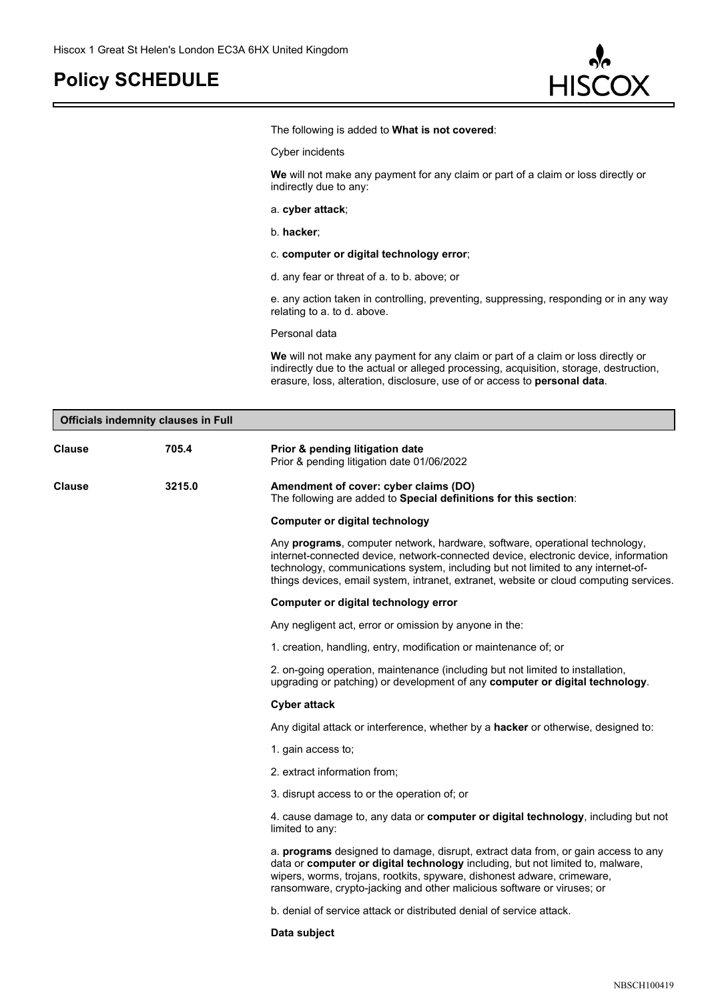

The following is added to **What is not covered**:

Cyber incidents

**We** will not make any payment for any claim or part of a claim or loss directly or indirectly due to any:

a. **cyber attack**;

b. **hacker**;

- c. **computer or digital technology error**;
- d. any fear or threat of a. to b. above; or

e. any action taken in controlling, preventing, suppressing, responding or in any way relating to a. to d. above.

Personal data

**We** will not make any payment for any claim or part of a claim or loss directly or indirectly due to the actual or alleged processing, acquisition, storage, destruction, erasure, loss, alteration, disclosure, use of or access to **personal data**.

| <b>Officials indemnity clauses in Full</b> |        |                                                                                                                                                                                                                                                                                                                                                          |
|--------------------------------------------|--------|----------------------------------------------------------------------------------------------------------------------------------------------------------------------------------------------------------------------------------------------------------------------------------------------------------------------------------------------------------|
| <b>Clause</b>                              | 705.4  | Prior & pending litigation date<br>Prior & pending litigation date 01/06/2022                                                                                                                                                                                                                                                                            |
| <b>Clause</b>                              | 3215.0 | Amendment of cover: cyber claims (DO)<br>The following are added to Special definitions for this section:                                                                                                                                                                                                                                                |
|                                            |        | <b>Computer or digital technology</b>                                                                                                                                                                                                                                                                                                                    |
|                                            |        | Any <b>programs</b> , computer network, hardware, software, operational technology,<br>internet-connected device, network-connected device, electronic device, information<br>technology, communications system, including but not limited to any internet-of-<br>things devices, email system, intranet, extranet, website or cloud computing services. |
|                                            |        | Computer or digital technology error                                                                                                                                                                                                                                                                                                                     |
|                                            |        | Any negligent act, error or omission by anyone in the:                                                                                                                                                                                                                                                                                                   |
|                                            |        | 1. creation, handling, entry, modification or maintenance of; or                                                                                                                                                                                                                                                                                         |
|                                            |        | 2. on-going operation, maintenance (including but not limited to installation,<br>upgrading or patching) or development of any computer or digital technology.                                                                                                                                                                                           |
|                                            |        | <b>Cyber attack</b>                                                                                                                                                                                                                                                                                                                                      |
|                                            |        | Any digital attack or interference, whether by a <b>hacker</b> or otherwise, designed to:                                                                                                                                                                                                                                                                |
|                                            |        | 1. gain access to;                                                                                                                                                                                                                                                                                                                                       |
|                                            |        | 2. extract information from;                                                                                                                                                                                                                                                                                                                             |
|                                            |        | 3. disrupt access to or the operation of; or                                                                                                                                                                                                                                                                                                             |
|                                            |        | 4. cause damage to, any data or computer or digital technology, including but not<br>limited to any:                                                                                                                                                                                                                                                     |
|                                            |        | a. programs designed to damage, disrupt, extract data from, or gain access to any<br>data or computer or digital technology including, but not limited to, malware,<br>wipers, worms, trojans, rootkits, spyware, dishonest adware, crimeware,<br>ransomware, crypto-jacking and other malicious software or viruses; or                                 |
|                                            |        | b, denial of service attack or distributed denial of service attack.                                                                                                                                                                                                                                                                                     |
|                                            |        | Data subject                                                                                                                                                                                                                                                                                                                                             |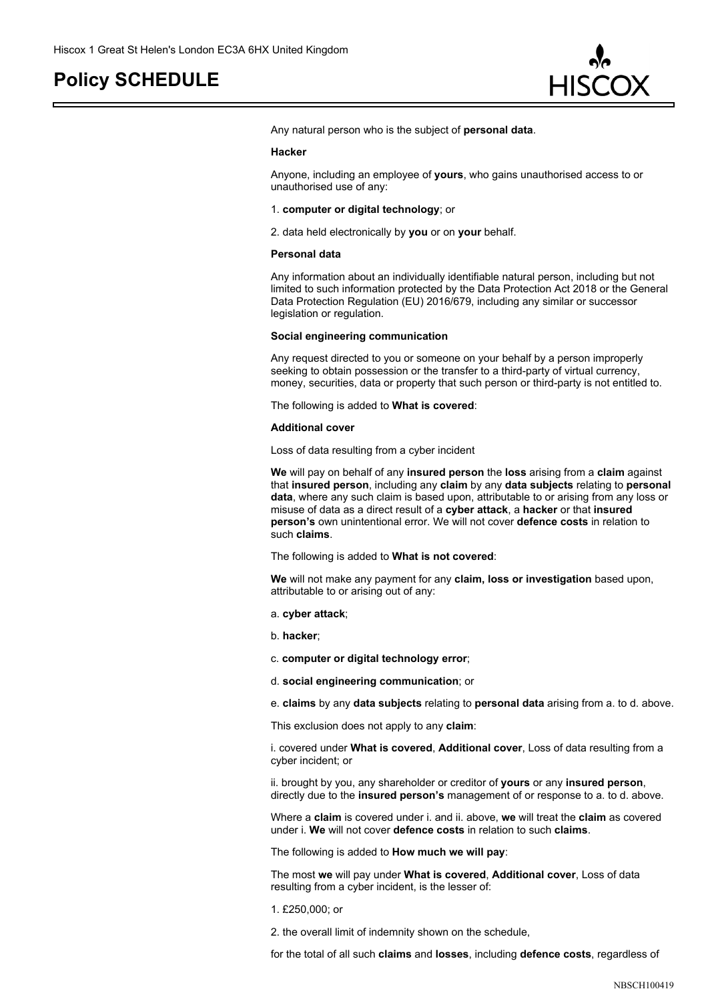

Any natural person who is the subject of **personal data**.

#### **Hacker**

Anyone, including an employee of **yours**, who gains unauthorised access to or unauthorised use of any:

#### 1. **computer or digital technology**; or

2. data held electronically by **you** or on **your** behalf.

#### **Personal data**

Any information about an individually identifiable natural person, including but not limited to such information protected by the Data Protection Act 2018 or the General Data Protection Regulation (EU) 2016/679, including any similar or successor legislation or regulation.

#### **Social engineering communication**

Any request directed to you or someone on your behalf by a person improperly seeking to obtain possession or the transfer to a third-party of virtual currency, money, securities, data or property that such person or third-party is not entitled to.

The following is added to **What is covered**:

#### **Additional cover**

Loss of data resulting from a cyber incident

**We** will pay on behalf of any **insured person** the **loss** arising from a **claim** against that **insured person**, including any **claim** by any **data subjects** relating to **personal data**, where any such claim is based upon, attributable to or arising from any loss or misuse of data as a direct result of a **cyber attack**, a **hacker** or that **insured person's** own unintentional error. We will not cover **defence costs** in relation to such **claims**.

The following is added to **What is not covered**:

**We** will not make any payment for any **claim, loss or investigation** based upon, attributable to or arising out of any:

#### a. **cyber attack**;

b. **hacker**;

c. **computer or digital technology error**;

d. **social engineering communication**; or

e. **claims** by any **data subjects** relating to **personal data** arising from a. to d. above.

This exclusion does not apply to any **claim**:

i. covered under **What is covered**, **Additional cover**, Loss of data resulting from a cyber incident; or

ii. brought by you, any shareholder or creditor of **yours** or any **insured person**, directly due to the **insured person's** management of or response to a. to d. above.

Where a **claim** is covered under i. and ii. above, **we** will treat the **claim** as covered under i. **We** will not cover **defence costs** in relation to such **claims**.

The following is added to **How much we will pay**:

The most **we** will pay under **What is covered**, **Additional cover**, Loss of data resulting from a cyber incident, is the lesser of:

#### 1. £250,000; or

2. the overall limit of indemnity shown on the schedule,

for the total of all such **claims** and **losses**, including **defence costs**, regardless of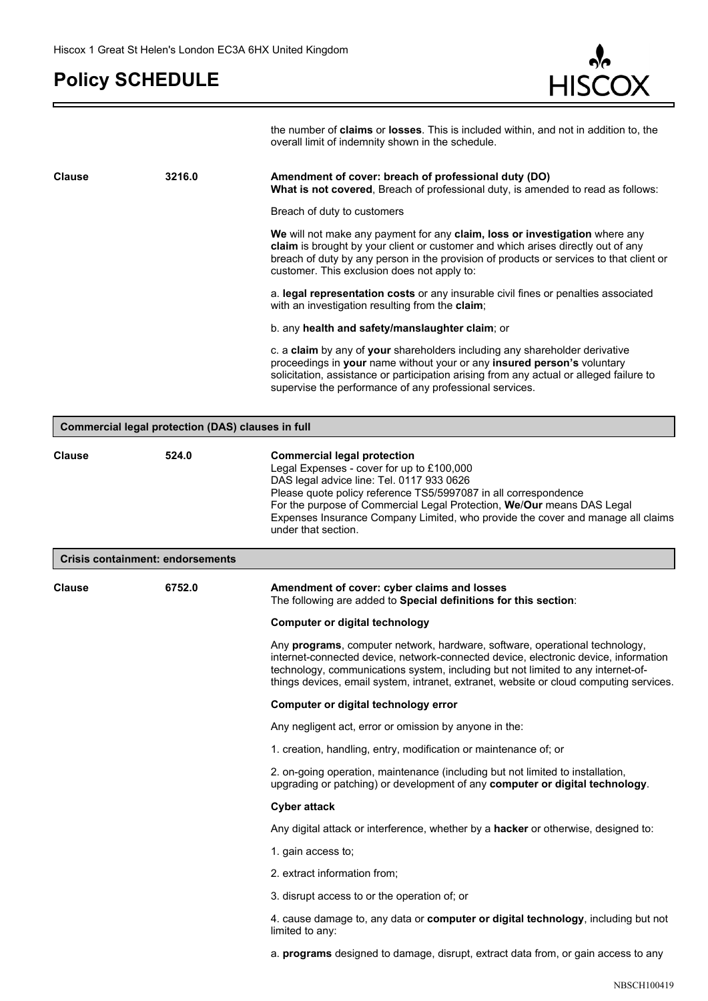r.



| the number of <b>claims</b> or <b>losses</b> . This is included within, and not in addition to, the |  |  |
|-----------------------------------------------------------------------------------------------------|--|--|
| overall limit of indemnity shown in the schedule.                                                   |  |  |

| <b>Clause</b>                           | 3216.0                                            | Amendment of cover: breach of professional duty (DO)<br>What is not covered, Breach of professional duty, is amended to read as follows:                                                                                                                                                                                                                                            |
|-----------------------------------------|---------------------------------------------------|-------------------------------------------------------------------------------------------------------------------------------------------------------------------------------------------------------------------------------------------------------------------------------------------------------------------------------------------------------------------------------------|
|                                         |                                                   | Breach of duty to customers                                                                                                                                                                                                                                                                                                                                                         |
|                                         |                                                   | We will not make any payment for any claim, loss or investigation where any<br>claim is brought by your client or customer and which arises directly out of any<br>breach of duty by any person in the provision of products or services to that client or<br>customer. This exclusion does not apply to:                                                                           |
|                                         |                                                   | a. legal representation costs or any insurable civil fines or penalties associated<br>with an investigation resulting from the claim;                                                                                                                                                                                                                                               |
|                                         |                                                   | b. any health and safety/manslaughter claim; or                                                                                                                                                                                                                                                                                                                                     |
|                                         |                                                   | c. a claim by any of your shareholders including any shareholder derivative<br>proceedings in your name without your or any insured person's voluntary<br>solicitation, assistance or participation arising from any actual or alleged failure to<br>supervise the performance of any professional services.                                                                        |
|                                         | Commercial legal protection (DAS) clauses in full |                                                                                                                                                                                                                                                                                                                                                                                     |
|                                         |                                                   |                                                                                                                                                                                                                                                                                                                                                                                     |
| <b>Clause</b>                           | 524.0                                             | <b>Commercial legal protection</b><br>Legal Expenses - cover for up to £100,000<br>DAS legal advice line: Tel. 0117 933 0626<br>Please quote policy reference TS5/5997087 in all correspondence<br>For the purpose of Commercial Legal Protection, We/Our means DAS Legal<br>Expenses Insurance Company Limited, who provide the cover and manage all claims<br>under that section. |
| <b>Crisis containment: endorsements</b> |                                                   |                                                                                                                                                                                                                                                                                                                                                                                     |
| <b>Clause</b>                           | 6752.0                                            | Amendment of cover: cyber claims and losses<br>The following are added to Special definitions for this section:                                                                                                                                                                                                                                                                     |
|                                         |                                                   | <b>Computer or digital technology</b>                                                                                                                                                                                                                                                                                                                                               |
|                                         |                                                   | Any programs, computer network, hardware, software, operational technology,<br>internet-connected device, network-connected device, electronic device, information<br>technology, communications system, including but not limited to any internet-of-<br>things devices, email system, intranet, extranet, website or cloud computing services.                                    |
|                                         |                                                   | Computer or digital technology error                                                                                                                                                                                                                                                                                                                                                |
|                                         |                                                   | Any negligent act, error or omission by anyone in the:                                                                                                                                                                                                                                                                                                                              |
|                                         |                                                   | 1. creation, handling, entry, modification or maintenance of; or                                                                                                                                                                                                                                                                                                                    |
|                                         |                                                   | 2. on-going operation, maintenance (including but not limited to installation,<br>upgrading or patching) or development of any computer or digital technology.                                                                                                                                                                                                                      |
|                                         |                                                   | <b>Cyber attack</b>                                                                                                                                                                                                                                                                                                                                                                 |
|                                         |                                                   | Any digital attack or interference, whether by a hacker or otherwise, designed to:                                                                                                                                                                                                                                                                                                  |
|                                         |                                                   | 1. gain access to;                                                                                                                                                                                                                                                                                                                                                                  |
|                                         |                                                   | 2. extract information from;                                                                                                                                                                                                                                                                                                                                                        |
|                                         |                                                   | 3. disrupt access to or the operation of; or                                                                                                                                                                                                                                                                                                                                        |
|                                         |                                                   | 4. cause damage to, any data or computer or digital technology, including but not<br>limited to any:                                                                                                                                                                                                                                                                                |
|                                         |                                                   | a. <b>programs</b> designed to damage, disrupt, extract data from, or gain access to any                                                                                                                                                                                                                                                                                            |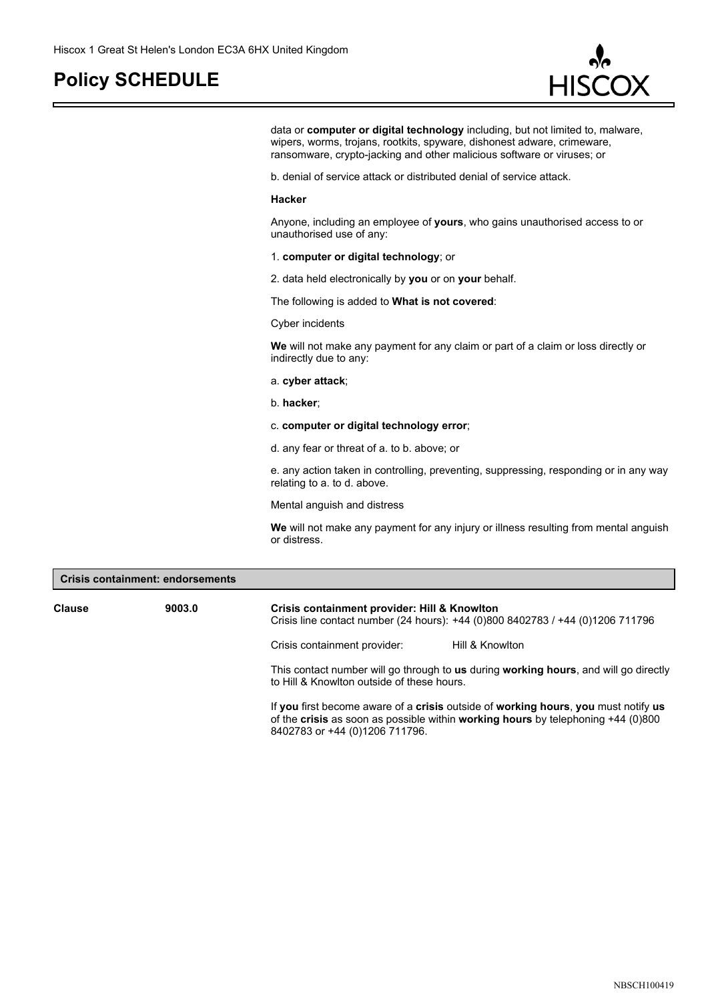

data or **computer or digital technology** including, but not limited to, malware, wipers, worms, trojans, rootkits, spyware, dishonest adware, crimeware, ransomware, crypto-jacking and other malicious software or viruses; or

b. denial of service attack or distributed denial of service attack.

#### **Hacker**

Anyone, including an employee of **yours**, who gains unauthorised access to or unauthorised use of any:

- 1. **computer or digital technology**; or
- 2. data held electronically by **you** or on **your** behalf.

The following is added to **What is not covered**:

#### Cyber incidents

**We** will not make any payment for any claim or part of a claim or loss directly or indirectly due to any:

- a. **cyber attack**;
- b. **hacker**;
- c. **computer or digital technology error**;
- d. any fear or threat of a. to b. above; or

e. any action taken in controlling, preventing, suppressing, responding or in any way relating to a. to d. above.

Mental anguish and distress

**We** will not make any payment for any injury or illness resulting from mental anguish or distress.

| <b>Crisis containment: endorsements</b> |        |                                                                                                                                                                          |  |
|-----------------------------------------|--------|--------------------------------------------------------------------------------------------------------------------------------------------------------------------------|--|
| Clause                                  | 9003.0 | Crisis containment provider: Hill & Knowlton<br>Crisis line contact number (24 hours): +44 (0)800 8402783 / +44 (0)1206 711796                                           |  |
|                                         |        | Crisis containment provider:<br>Hill & Knowlton                                                                                                                          |  |
|                                         |        | This contact number will go through to us during working hours, and will go directly<br>to Hill & Knowlton outside of these hours.                                       |  |
|                                         |        | If you first become aware of a crisis outside of working hours, you must notify us<br>of the crisis as soon as possible within working hours by telephoning $+44$ (0)800 |  |

8402783 or +44 (0)1206 711796.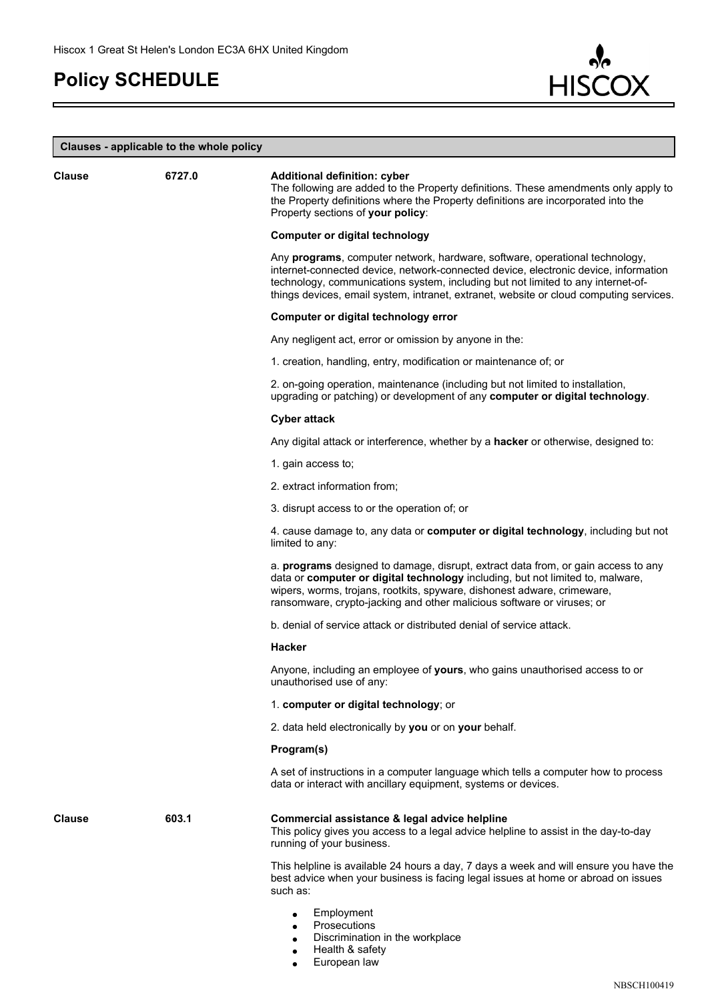F



### **Clauses - applicable to the whole policy**

| <b>Clause</b> | 6727.0 | Additional definition: cyber<br>The following are added to the Property definitions. These amendments only apply to<br>the Property definitions where the Property definitions are incorporated into the<br>Property sections of your policy:                                                                                                    |
|---------------|--------|--------------------------------------------------------------------------------------------------------------------------------------------------------------------------------------------------------------------------------------------------------------------------------------------------------------------------------------------------|
|               |        | <b>Computer or digital technology</b>                                                                                                                                                                                                                                                                                                            |
|               |        | Any programs, computer network, hardware, software, operational technology,<br>internet-connected device, network-connected device, electronic device, information<br>technology, communications system, including but not limited to any internet-of-<br>things devices, email system, intranet, extranet, website or cloud computing services. |
|               |        | Computer or digital technology error                                                                                                                                                                                                                                                                                                             |
|               |        | Any negligent act, error or omission by anyone in the:                                                                                                                                                                                                                                                                                           |
|               |        | 1. creation, handling, entry, modification or maintenance of; or                                                                                                                                                                                                                                                                                 |
|               |        | 2. on-going operation, maintenance (including but not limited to installation,<br>upgrading or patching) or development of any computer or digital technology.                                                                                                                                                                                   |
|               |        | <b>Cyber attack</b>                                                                                                                                                                                                                                                                                                                              |
|               |        | Any digital attack or interference, whether by a hacker or otherwise, designed to:                                                                                                                                                                                                                                                               |
|               |        | 1. gain access to;                                                                                                                                                                                                                                                                                                                               |
|               |        | 2. extract information from;                                                                                                                                                                                                                                                                                                                     |
|               |        | 3. disrupt access to or the operation of; or                                                                                                                                                                                                                                                                                                     |
|               |        | 4. cause damage to, any data or computer or digital technology, including but not<br>limited to any:                                                                                                                                                                                                                                             |
|               |        | a. <b>programs</b> designed to damage, disrupt, extract data from, or gain access to any<br>data or computer or digital technology including, but not limited to, malware,<br>wipers, worms, trojans, rootkits, spyware, dishonest adware, crimeware,<br>ransomware, crypto-jacking and other malicious software or viruses; or                  |
|               |        | b. denial of service attack or distributed denial of service attack.                                                                                                                                                                                                                                                                             |
|               |        | Hacker                                                                                                                                                                                                                                                                                                                                           |
|               |        | Anyone, including an employee of yours, who gains unauthorised access to or<br>unauthorised use of any:                                                                                                                                                                                                                                          |
|               |        | 1. computer or digital technology; or                                                                                                                                                                                                                                                                                                            |
|               |        | 2. data held electronically by you or on your behalf.                                                                                                                                                                                                                                                                                            |
|               |        | Program(s)                                                                                                                                                                                                                                                                                                                                       |
|               |        | A set of instructions in a computer language which tells a computer how to process<br>data or interact with ancillary equipment, systems or devices.                                                                                                                                                                                             |
| <b>Clause</b> | 603.1  | Commercial assistance & legal advice helpline<br>This policy gives you access to a legal advice helpline to assist in the day-to-day<br>running of your business.                                                                                                                                                                                |
|               |        | This helpline is available 24 hours a day, 7 days a week and will ensure you have the<br>best advice when your business is facing legal issues at home or abroad on issues<br>such as:                                                                                                                                                           |
|               |        | Employment<br>$\bullet$<br>Prosecutions<br>Discrimination in the workplace<br>Health & safety                                                                                                                                                                                                                                                    |

European law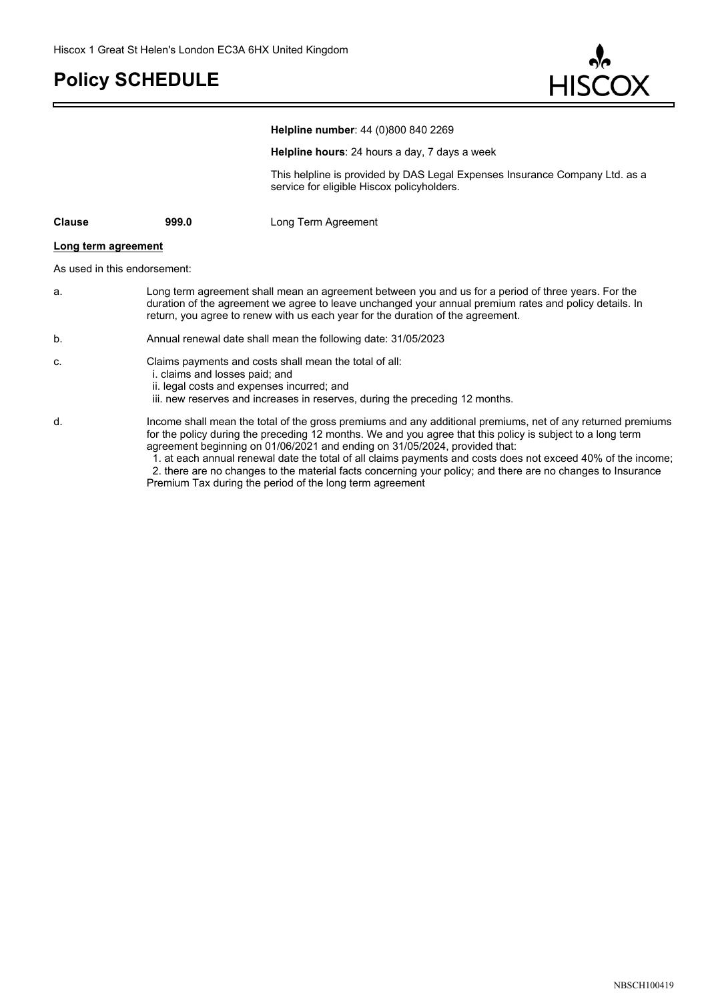E



|                     |                                                                                                                                                                                                                                                                                                                                                                                                                                                                                                                                                                                                    | Helpline number: 44 (0)800 840 2269                                                                                       |  |
|---------------------|----------------------------------------------------------------------------------------------------------------------------------------------------------------------------------------------------------------------------------------------------------------------------------------------------------------------------------------------------------------------------------------------------------------------------------------------------------------------------------------------------------------------------------------------------------------------------------------------------|---------------------------------------------------------------------------------------------------------------------------|--|
|                     |                                                                                                                                                                                                                                                                                                                                                                                                                                                                                                                                                                                                    | Helpline hours: 24 hours a day, 7 days a week                                                                             |  |
|                     |                                                                                                                                                                                                                                                                                                                                                                                                                                                                                                                                                                                                    | This helpline is provided by DAS Legal Expenses Insurance Company Ltd. as a<br>service for eligible Hiscox policyholders. |  |
| <b>Clause</b>       | 999.0                                                                                                                                                                                                                                                                                                                                                                                                                                                                                                                                                                                              | Long Term Agreement                                                                                                       |  |
| Long term agreement |                                                                                                                                                                                                                                                                                                                                                                                                                                                                                                                                                                                                    |                                                                                                                           |  |
|                     | As used in this endorsement:                                                                                                                                                                                                                                                                                                                                                                                                                                                                                                                                                                       |                                                                                                                           |  |
| a.                  | Long term agreement shall mean an agreement between you and us for a period of three years. For the<br>duration of the agreement we agree to leave unchanged your annual premium rates and policy details. In<br>return, you agree to renew with us each year for the duration of the agreement.                                                                                                                                                                                                                                                                                                   |                                                                                                                           |  |
| b.                  |                                                                                                                                                                                                                                                                                                                                                                                                                                                                                                                                                                                                    | Annual renewal date shall mean the following date: 31/05/2023                                                             |  |
| C.                  | Claims payments and costs shall mean the total of all:<br>i. claims and losses paid; and<br>ii. legal costs and expenses incurred; and<br>iii. new reserves and increases in reserves, during the preceding 12 months.                                                                                                                                                                                                                                                                                                                                                                             |                                                                                                                           |  |
| d.                  | Income shall mean the total of the gross premiums and any additional premiums, net of any returned premiums<br>for the policy during the preceding 12 months. We and you agree that this policy is subject to a long term<br>agreement beginning on 01/06/2021 and ending on 31/05/2024, provided that:<br>1. at each annual renewal date the total of all claims payments and costs does not exceed 40% of the income;<br>2. there are no changes to the material facts concerning your policy; and there are no changes to Insurance<br>Premium Tax during the period of the long term agreement |                                                                                                                           |  |